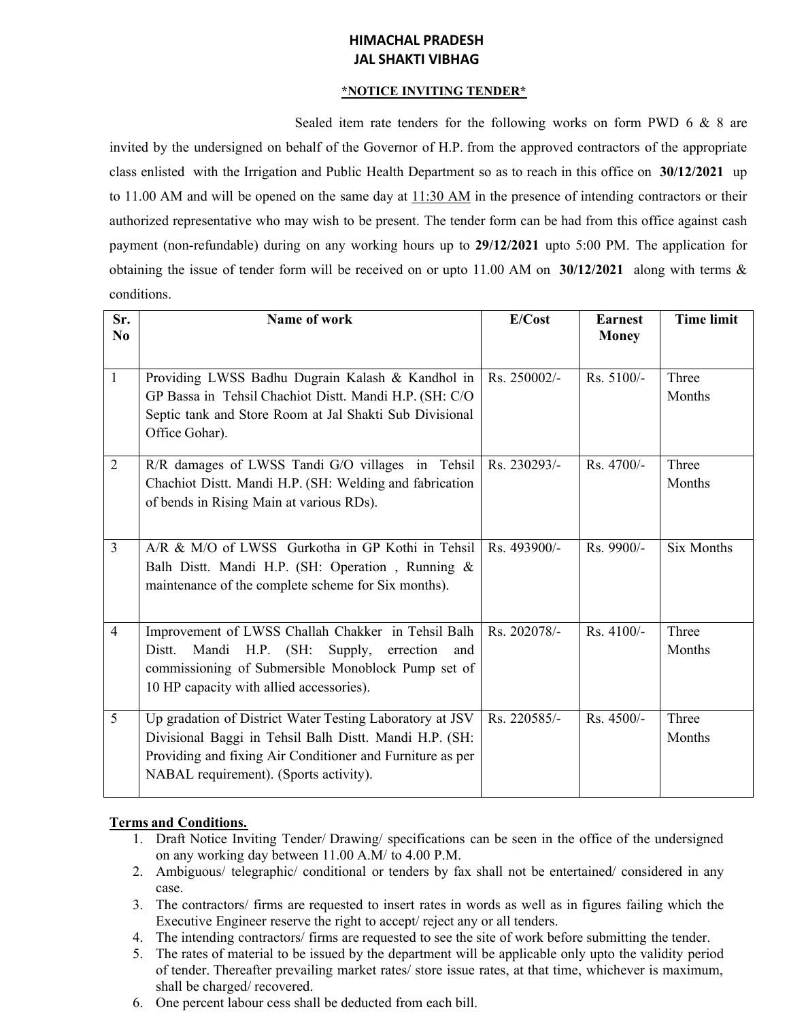# **HIMACHAL PRADESH JAL SHAKTI VIBHAG**

### **\*NOTICE INVITING TENDER\***

Sealed item rate tenders for the following works on form PWD 6 & 8 are invited by the undersigned on behalf of the Governor of H.P. from the approved contractors of the appropriate class enlisted with the Irrigation and Public Health Department so as to reach in this office on **30/12/2021** up to 11.00 AM and will be opened on the same day at 11:30 AM in the presence of intending contractors or their authorized representative who may wish to be present. The tender form can be had from this office against cash payment (non-refundable) during on any working hours up to **29/12/2021** upto 5:00 PM. The application for obtaining the issue of tender form will be received on or upto 11.00 AM on **30/12/2021** along with terms & conditions.

| Sr.<br>N <sub>0</sub> | Name of work                                                                                                                                                                                                              | E/Cost       | <b>Earnest</b><br><b>Money</b> | <b>Time limit</b> |
|-----------------------|---------------------------------------------------------------------------------------------------------------------------------------------------------------------------------------------------------------------------|--------------|--------------------------------|-------------------|
|                       |                                                                                                                                                                                                                           |              |                                |                   |
| $\overline{1}$        | Providing LWSS Badhu Dugrain Kalash & Kandhol in<br>GP Bassa in Tehsil Chachiot Distt. Mandi H.P. (SH: C/O<br>Septic tank and Store Room at Jal Shakti Sub Divisional<br>Office Gohar).                                   | Rs. 250002/- | Rs. 5100/-                     | Three<br>Months   |
| $\overline{2}$        | R/R damages of LWSS Tandi G/O villages in Tehsil<br>Chachiot Distt. Mandi H.P. (SH: Welding and fabrication<br>of bends in Rising Main at various RDs).                                                                   | Rs. 230293/- | Rs. 4700/-                     | Three<br>Months   |
| $\overline{3}$        | A/R & M/O of LWSS Gurkotha in GP Kothi in Tehsil<br>Balh Distt. Mandi H.P. (SH: Operation, Running &<br>maintenance of the complete scheme for Six months).                                                               | Rs. 493900/- | Rs. 9900/-                     | <b>Six Months</b> |
| $\overline{4}$        | Improvement of LWSS Challah Chakker in Tehsil Balh<br>Distt.<br>Mandi<br>$H.P.$ (SH:<br>Supply,<br>errection<br>and<br>commissioning of Submersible Monoblock Pump set of<br>10 HP capacity with allied accessories).     | Rs. 202078/- | $Rs.4100/-$                    | Three<br>Months   |
| 5                     | Up gradation of District Water Testing Laboratory at JSV<br>Divisional Baggi in Tehsil Balh Distt. Mandi H.P. (SH:<br>Providing and fixing Air Conditioner and Furniture as per<br>NABAL requirement). (Sports activity). | Rs. 220585/- | Rs. 4500/-                     | Three<br>Months   |

## **Terms and Conditions.**

- 1. Draft Notice Inviting Tender/ Drawing/ specifications can be seen in the office of the undersigned on any working day between 11.00 A.M/ to 4.00 P.M.
- 2. Ambiguous/ telegraphic/ conditional or tenders by fax shall not be entertained/ considered in any case.
- 3. The contractors/ firms are requested to insert rates in words as well as in figures failing which the Executive Engineer reserve the right to accept/ reject any or all tenders.
- 4. The intending contractors/ firms are requested to see the site of work before submitting the tender.
- 5. The rates of material to be issued by the department will be applicable only upto the validity period of tender. Thereafter prevailing market rates/ store issue rates, at that time, whichever is maximum, shall be charged/ recovered.
- 6. One percent labour cess shall be deducted from each bill.